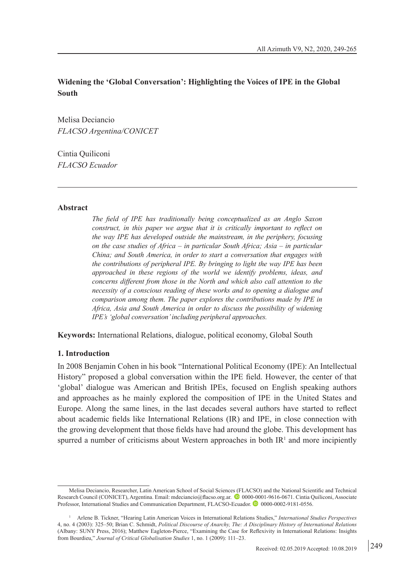# **Widening the 'Global Conversation': Highlighting the Voices of IPE in the Global South**

Melisa Deciancio *FLACSO Argentina/CONICET*

Cintia Quiliconi *FLACSO Ecuador*

#### **Abstract**

*The field of IPE has traditionally being conceptualized as an Anglo Saxon construct, in this paper we argue that it is critically important to reflect on the way IPE has developed outside the mainstream, in the periphery, focusing on the case studies of Africa – in particular South Africa; Asia – in particular China; and South America, in order to start a conversation that engages with the contributions of peripheral IPE. By bringing to light the way IPE has been approached in these regions of the world we identify problems, ideas, and concerns different from those in the North and which also call attention to the necessity of a conscious reading of these works and to opening a dialogue and comparison among them. The paper explores the contributions made by IPE in Africa, Asia and South America in order to discuss the possibility of widening IPE's 'global conversation' including peripheral approaches.* 

**Keywords:** International Relations, dialogue, political economy, Global South

### **1. Introduction**

In 2008 Benjamin Cohen in his book "International Political Economy (IPE): An Intellectual History" proposed a global conversation within the IPE field. However, the center of that 'global' dialogue was American and British IPEs, focused on English speaking authors and approaches as he mainly explored the composition of IPE in the United States and Europe. Along the same lines, in the last decades several authors have started to reflect about academic fields like International Relations (IR) and IPE, in close connection with the growing development that those fields have had around the globe. This development has spurred a number of criticisms about Western approaches in both  $IR<sup>1</sup>$  and more incipiently

Melisa Deciancio, Researcher, Latin American School of Social Sciences (FLACSO) and the National Scientific and Technical Research Council (CONICET), Argentina. Email: mdeciancio@flacso.org.ar. 0000-0001-9616-0671. Cintia Quiliconi, Associate Professor, International Studies and Communication Department, FLACSO-Ecuador. <sup>10</sup> 0000-0002-9181-0556.

<sup>1</sup> Arlene B. Tickner, "Hearing Latin American Voices in International Relations Studies," *International Studies Perspectives* 4, no. 4 (2003): 325–50; Brian C. Schmidt, *Political Discourse of Anarchy, The: A Disciplinary History of International Relations* (Albany: SUNY Press, 2016); Matthew Eagleton-Pierce, "Examining the Case for Reflexivity in International Relations: Insights from Bourdieu," *Journal of Critical Globalisation Studies* 1, no. 1 (2009): 111–23.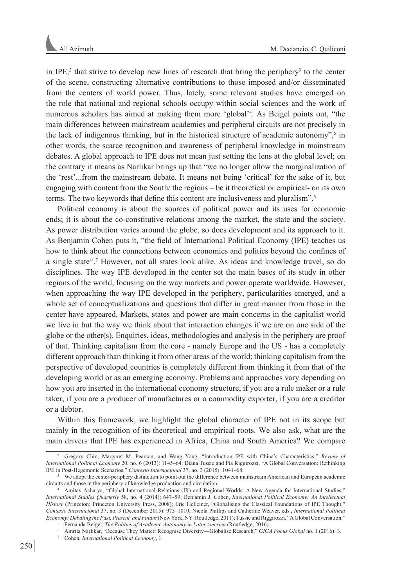in IPE,<sup>2</sup> that strive to develop new lines of research that bring the periphery<sup>3</sup> to the center of the scene, constructing alternative contributions to those imposed and/or disseminated from the centers of world power. Thus, lately, some relevant studies have emerged on the role that national and regional schools occupy within social sciences and the work of numerous scholars has aimed at making them more 'global'<sup>4</sup>. As Beigel points out, "the main differences between mainstream academies and peripheral circuits are not precisely in the lack of indigenous thinking, but in the historical structure of academic autonomy", $\delta$  in other words, the scarce recognition and awareness of peripheral knowledge in mainstream debates. A global approach to IPE does not mean just setting the lens at the global level; on the contrary it means as Narlikar brings up that "we no longer allow the marginalization of the 'rest'...from the mainstream debate. It means not being 'critical' for the sake of it, but engaging with content from the South/ the regions – be it theoretical or empirical- on its own terms. The two keywords that define this content are inclusiveness and pluralism".<sup>6</sup>

Political economy is about the sources of political power and its uses for economic ends; it is about the co-constitutive relations among the market, the state and the society. As power distribution varies around the globe, so does development and its approach to it. As Benjamin Cohen puts it, "the field of International Political Economy (IPE) teaches us how to think about the connections between economics and politics beyond the confines of a single state".<sup>7</sup> However, not all states look alike. As ideas and knowledge travel, so do disciplines. The way IPE developed in the center set the main bases of its study in other regions of the world, focusing on the way markets and power operate worldwide. However, when approaching the way IPE developed in the periphery, particularities emerged, and a whole set of conceptualizations and questions that differ in great manner from those in the center have appeared. Markets, states and power are main concerns in the capitalist world we live in but the way we think about that interaction changes if we are on one side of the globe or the other(s). Enquiries, ideas, methodologies and analysis in the periphery are proof of that. Thinking capitalism from the core - namely Europe and the US - has a completely different approach than thinking it from other areas of the world; thinking capitalism from the perspective of developed countries is completely different from thinking it from that of the developing world or as an emerging economy. Problems and approaches vary depending on how you are inserted in the international economy structure, if you are a rule maker or a rule taker, if you are a producer of manufactures or a commodity exporter, if you are a creditor or a debtor.

Within this framework, we highlight the global character of IPE not in its scope but mainly in the recognition of its theoretical and empirical roots. We also ask, what are the main drivers that IPE has experienced in Africa, China and South America? We compare

<sup>2</sup> Gregory Chin, Margaret M. Pearson, and Wang Yong, "Introduction–IPE with China's Characteristics," *Review of International Political Economy* 20, no. 6 (2013): 1145–64; Diana Tussie and Pia Riggirozzi, "A Global Conversation: Rethinking IPE in Post-Hegemonic Scenarios," *Contexto Internacional* 37, no. 3 (2015): 1041–68.

We adopt the center-periphery distinction to point out the difference between mainstream American and European academic circuits and those in the periphery of knowledge production and circulation. 4 Amitav Acharya, "Global International Relations (IR) and Regional Worlds: A New Agenda for International Studies,"

*International Studies Quarterly* 58, no. 4 (2014): 647–59; Benjamin J. Cohen, *International Political Economy: An Intellectual History* (Princeton: Princeton University Press, 2008); Eric Helleiner, "Globalising the Classical Foundations of IPE Thought," *Contexto Internacional* 37, no. 3 (December 2015): 975–1010; Nicola Phillips and Catherine Weaver, eds., *International Political Economy: Debating the Past, Present, and Future* (New York, NY: Routledge, 2011); Tussie and Riggirozzi, "A Global Conversation."

<sup>5</sup> Fernanda Beigel, *The Politics of Academic Autonomy in Latin America* (Routledge, 2016).

<sup>6</sup> Amrita Narlikar, "Because They Matter: Recognise Diversity—Globalise Research," *GIGA Focus Global* no. 1 (2016): 3.

<sup>7</sup> Cohen, *International Political Economy*, 1.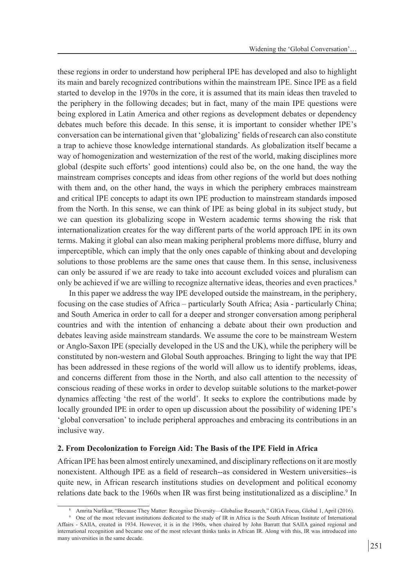these regions in order to understand how peripheral IPE has developed and also to highlight its main and barely recognized contributions within the mainstream IPE. Since IPE as a field started to develop in the 1970s in the core, it is assumed that its main ideas then traveled to the periphery in the following decades; but in fact, many of the main IPE questions were being explored in Latin America and other regions as development debates or dependency debates much before this decade. In this sense, it is important to consider whether IPE's conversation can be international given that 'globalizing' fields of research can also constitute a trap to achieve those knowledge international standards. As globalization itself became a way of homogenization and westernization of the rest of the world, making disciplines more global (despite such efforts' good intentions) could also be, on the one hand, the way the mainstream comprises concepts and ideas from other regions of the world but does nothing with them and, on the other hand, the ways in which the periphery embraces mainstream and critical IPE concepts to adapt its own IPE production to mainstream standards imposed from the North. In this sense, we can think of IPE as being global in its subject study, but we can question its globalizing scope in Western academic terms showing the risk that internationalization creates for the way different parts of the world approach IPE in its own terms. Making it global can also mean making peripheral problems more diffuse, blurry and imperceptible, which can imply that the only ones capable of thinking about and developing solutions to those problems are the same ones that cause them. In this sense, inclusiveness can only be assured if we are ready to take into account excluded voices and pluralism can only be achieved if we are willing to recognize alternative ideas, theories and even practices.<sup>8</sup>

In this paper we address the way IPE developed outside the mainstream, in the periphery, focusing on the case studies of Africa – particularly South Africa; Asia - particularly China; and South America in order to call for a deeper and stronger conversation among peripheral countries and with the intention of enhancing a debate about their own production and debates leaving aside mainstream standards. We assume the core to be mainstream Western or Anglo-Saxon IPE (specially developed in the US and the UK), while the periphery will be constituted by non-western and Global South approaches. Bringing to light the way that IPE has been addressed in these regions of the world will allow us to identify problems, ideas, and concerns different from those in the North, and also call attention to the necessity of conscious reading of these works in order to develop suitable solutions to the market-power dynamics affecting 'the rest of the world'. It seeks to explore the contributions made by locally grounded IPE in order to open up discussion about the possibility of widening IPE's 'global conversation' to include peripheral approaches and embracing its contributions in an inclusive way.

### **2. From Decolonization to Foreign Aid: The Basis of the IPE Field in Africa**

African IPE has been almost entirely unexamined, and disciplinary reflections on it are mostly nonexistent. Although IPE as a field of research--as considered in Western universities--is quite new, in African research institutions studies on development and political economy relations date back to the 1960s when IR was first being institutionalized as a discipline.<sup>9</sup> In

<sup>8</sup> Amrita Narlikar, "Because They Matter: Recognise Diversity—Globalise Research," GIGA Focus, Global 1, April (2016).

<sup>9</sup> One of the most relevant institutions dedicated to the study of IR in Africa is the South African Institute of International Affairs - SAIIA, created in 1934. However, it is in the 1960s, when chaired by John Barratt that SAIIA gained regional and international recognition and became one of the most relevant thinks tanks in African IR. Along with this, IR was introduced into many universities in the same decade.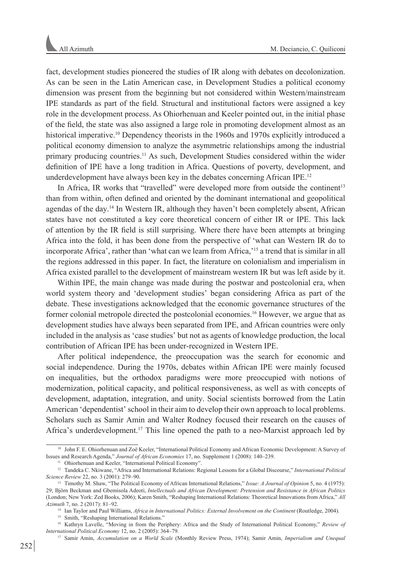fact, development studies pioneered the studies of IR along with debates on decolonization. As can be seen in the Latin American case, in Development Studies a political economy dimension was present from the beginning but not considered within Western/mainstream IPE standards as part of the field. Structural and institutional factors were assigned a key role in the development process. As Ohiorhenuan and Keeler pointed out, in the initial phase of the field, the state was also assigned a large role in promoting development almost as an historical imperative.<sup>10</sup> Dependency theorists in the 1960s and 1970s explicitly introduced a political economy dimension to analyze the asymmetric relationships among the industrial primary producing countries.11 As such, Development Studies considered within the wider definition of IPE have a long tradition in Africa. Questions of poverty, development, and underdevelopment have always been key in the debates concerning African IPE.<sup>12</sup>

In Africa, IR works that "travelled" were developed more from outside the continent<sup>13</sup> than from within, often defined and oriented by the dominant international and geopolitical agendas of the day.14 In Western IR, although they haven't been completely absent, African states have not constituted a key core theoretical concern of either IR or IPE. This lack of attention by the IR field is still surprising. Where there have been attempts at bringing Africa into the fold, it has been done from the perspective of 'what can Western IR do to incorporate Africa', rather than 'what can we learn from Africa,'15 a trend that is similar in all the regions addressed in this paper. In fact, the literature on colonialism and imperialism in Africa existed parallel to the development of mainstream western IR but was left aside by it.

Within IPE, the main change was made during the postwar and postcolonial era, when world system theory and 'development studies' began considering Africa as part of the debate. These investigations acknowledged that the economic governance structures of the former colonial metropole directed the postcolonial economies.16 However, we argue that as development studies have always been separated from IPE, and African countries were only included in the analysis as 'case studies' but not as agents of knowledge production, the local contribution of African IPE has been under-recognized in Western IPE.

After political independence, the preoccupation was the search for economic and social independence. During the 1970s, debates within African IPE were mainly focused on inequalities, but the orthodox paradigms were more preoccupied with notions of modernization, political capacity, and political responsiveness, as well as with concepts of development, adaptation, integration, and unity. Social scientists borrowed from the Latin American 'dependentist' school in their aim to develop their own approach to local problems. Scholars such as Samir Amin and Walter Rodney focused their research on the causes of Africa's underdevelopment.<sup>17</sup> This line opened the path to a neo-Marxist approach led by

<sup>&</sup>lt;sup>10</sup> John F. E. Ohiorhenuan and Zoë Keeler, "International Political Economy and African Economic Development: A Survey of Issues and Research Agenda," *Journal of African Economies* 17, no. Supplement 1 (2008): 140–239.

<sup>&</sup>lt;sup>11</sup> Ohiorhenuan and Keeler, "International Political Economy".

<sup>12</sup> Tandeka C. Nkiwane, "Africa and International Relations: Regional Lessons for a Global Discourse," *International Political Science Review* 22, no. 3 (2001): 279–90.

<sup>13</sup> Timothy M. Shaw, "The Political Economy of African International Relations," *Issue: A Journal of Opinion* 5, no. 4 (1975): 29; Björn Beckman and Gbemisola Adeoti, *Intellectuals and African Development: Pretension and Resistance in African Politics* (London; New York: Zed Books, 2006); Karen Smith, "Reshaping International Relations: Theoretical Innovations from Africa," *All Azimuth* 7, no. 2 (2017): 81–92.

<sup>14</sup> Ian Taylor and Paul Williams, *Africa in International Politics: External Involvement on the Continent* (Routledge, 2004).

<sup>&</sup>lt;sup>15</sup> Smith, "Reshaping International Relations."

<sup>16</sup> Kathryn Lavelle, "Moving in from the Periphery: Africa and the Study of International Political Economy," *Review of* 

*International Political Economy* 12, no. 2 (2005): 364–79. 17 Samir Amin, *Accumulation on a World Scale* (Monthly Review Press, 1974); Samir Amin, *Imperialism and Unequal*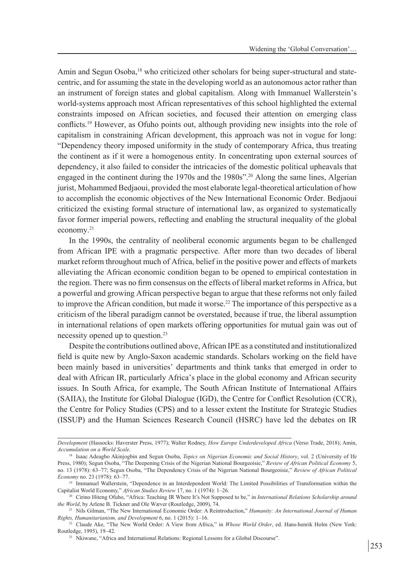Amin and Segun Osoba,<sup>18</sup> who criticized other scholars for being super-structural and statecentric, and for assuming the state in the developing world as an autonomous actor rather than an instrument of foreign states and global capitalism. Along with Immanuel Wallerstein's world-systems approach most African representatives of this school highlighted the external constraints imposed on African societies, and focused their attention on emerging class conflicts.19 However, as Ofuho points out, although providing new insights into the role of capitalism in constraining African development, this approach was not in vogue for long: "Dependency theory imposed uniformity in the study of contemporary Africa, thus treating the continent as if it were a homogenous entity. In concentrating upon external sources of dependency, it also failed to consider the intricacies of the domestic political upheavals that engaged in the continent during the 1970s and the 1980s".20 Along the same lines, Algerian jurist, Mohammed Bedjaoui, provided the most elaborate legal-theoretical articulation of how to accomplish the economic objectives of the New International Economic Order. Bedjaoui criticized the existing formal structure of international law, as organized to systematically favor former imperial powers, reflecting and enabling the structural inequality of the global economy.21

In the 1990s, the centrality of neoliberal economic arguments began to be challenged from African IPE with a pragmatic perspective. After more than two decades of liberal market reform throughout much of Africa, belief in the positive power and effects of markets alleviating the African economic condition began to be opened to empirical contestation in the region. There was no firm consensus on the effects of liberal market reforms in Africa, but a powerful and growing African perspective began to argue that these reforms not only failed to improve the African condition, but made it worse.<sup>22</sup> The importance of this perspective as a criticism of the liberal paradigm cannot be overstated, because if true, the liberal assumption in international relations of open markets offering opportunities for mutual gain was out of necessity opened up to question.<sup>23</sup>

Despite the contributions outlined above, African IPE as a constituted and institutionalized field is quite new by Anglo-Saxon academic standards. Scholars working on the field have been mainly based in universities' departments and think tanks that emerged in order to deal with African IR, particularly Africa's place in the global economy and African security issues. In South Africa, for example, The South African Institute of International Affairs (SAIIA), the Institute for Global Dialogue (IGD), the Centre for Conflict Resolution (CCR), the Centre for Policy Studies (CPS) and to a lesser extent the Institute for Strategic Studies (ISSUP) and the Human Sciences Research Council (HSRC) have led the debates on IR

*Development* (Hassocks: Haverster Press, 1977); Walter Rodney, *How Europe Underdeveloped Africa* (Verso Trade, 2018); Amin, *Accumulation on a World Scale*.

<sup>&</sup>lt;sup>18</sup> Isaac Adeagbo Akinjogbin and Segun Osoba, *Topics on Nigerian Economic and Social History*, vol. 2 (University of Ife Press, 1980); Segun Osoba, "The Deepening Crisis of the Nigerian National Bourgeoisie," *Review of African Political Economy* 5, no. 13 (1978): 63–77; Segun Osoba, "The Dependency Crisis of the Nigerian National Bourgeoisie," *Review of African Political Economy* no. 23 (1978): 63–77.

<sup>&</sup>lt;sup>19</sup> Immanuel Wallerstein, "Dependence in an Interdependent World: The Limited Possibilities of Transformation within the Capitalist World Economy," *African Studies Review* 17, no. 1 (1974): 1–26.

<sup>20</sup> Cirino Hiteng Ofuho, "Africa: Teaching IR Where It's Not Supposed to be," in *International Relations Scholarship around the World*, by Arlene B. Tickner and Ole Wæver (Routledge, 2009), 74.

<sup>21</sup> Nils Gilman, "The New International Economic Order: A Reintroduction," *Humanity: An International Journal of Human Rights, Humanitarianism, and Development* 6, no. 1 (2015): 1–16.

<sup>22</sup> Claude Ake, "The New World Order: A View from Africa," in *Whose World Order*, ed. Hans-henrik Holm (New York: Routledge, 1995), 19–42.

<sup>&</sup>lt;sup>23</sup> Nkiwane, "Africa and International Relations: Regional Lessons for a Global Discourse".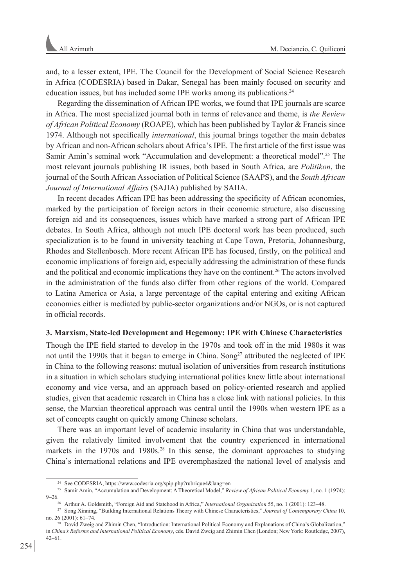and, to a lesser extent, IPE. The Council for the Development of Social Science Research in Africa (CODESRIA) based in Dakar, Senegal has been mainly focused on security and education issues, but has included some IPE works among its publications.<sup>24</sup>

Regarding the dissemination of African IPE works, we found that IPE journals are scarce in Africa. The most specialized journal both in terms of relevance and theme, is *the Review of African Political Economy* (ROAPE), which has been published by Taylor & Francis since 1974. Although not specifically *international*, this journal brings together the main debates by African and non-African scholars about Africa's IPE. The first article of the first issue was Samir Amin's seminal work "Accumulation and development: a theoretical model".25 The most relevant journals publishing IR issues, both based in South Africa, are *Politikon*, the journal of the South African Association of Political Science (SAAPS), and the *South African Journal of International Affairs* (SAJIA) published by SAIIA.

In recent decades African IPE has been addressing the specificity of African economies, marked by the participation of foreign actors in their economic structure, also discussing foreign aid and its consequences, issues which have marked a strong part of African IPE debates. In South Africa, although not much IPE doctoral work has been produced, such specialization is to be found in university teaching at Cape Town, Pretoria, Johannesburg, Rhodes and Stellenbosch. More recent African IPE has focused, firstly, on the political and economic implications of foreign aid, especially addressing the administration of these funds and the political and economic implications they have on the continent.26 The actors involved in the administration of the funds also differ from other regions of the world. Compared to Latina America or Asia, a large percentage of the capital entering and exiting African economies either is mediated by public-sector organizations and/or NGOs, or is not captured in official records.

## **3. Marxism, State-led Development and Hegemony: IPE with Chinese Characteristics**

Though the IPE field started to develop in the 1970s and took off in the mid 1980s it was not until the 1990s that it began to emerge in China. Song<sup>27</sup> attributed the neglected of IPE in China to the following reasons: mutual isolation of universities from research institutions in a situation in which scholars studying international politics knew little about international economy and vice versa, and an approach based on policy-oriented research and applied studies, given that academic research in China has a close link with national policies. In this sense, the Marxian theoretical approach was central until the 1990s when western IPE as a set of concepts caught on quickly among Chinese scholars.

There was an important level of academic insularity in China that was understandable, given the relatively limited involvement that the country experienced in international markets in the 1970s and 1980s.<sup>28</sup> In this sense, the dominant approaches to studying China's international relations and IPE overemphasized the national level of analysis and

<sup>24</sup> See CODESRIA, https://www.codesria.org/spip.php?rubrique4&lang=en

<sup>25</sup> Samir Amin, "Accumulation and Development: A Theoretical Model," *Review of African Political Economy* 1, no. 1 (1974):

<sup>9–26.26</sup> Arthur A. Goldsmith, "Foreign Aid and Statehood in Africa," *International Organization* 55, no. 1 (2001): 123–48.

<sup>27</sup> Song Xinning, "Building International Relations Theory with Chinese Characteristics," *Journal of Contemporary China* 10, no. 26 (2001): 61–74.

<sup>28</sup> David Zweig and Zhimin Chen, "Introduction: International Political Economy and Explanations of China's Globalization," in *China's Reforms and International Political Economy*, eds. David Zweig and Zhimin Chen (London; New York: Routledge, 2007), 42–61.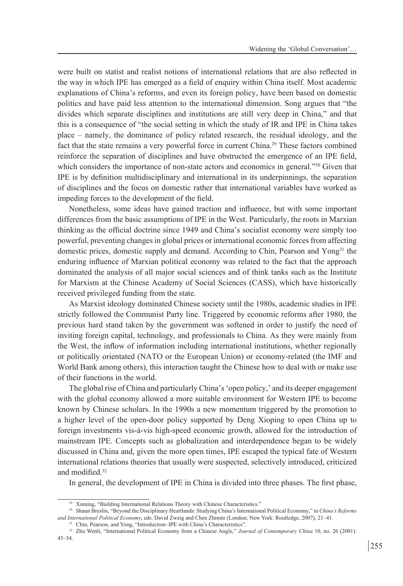were built on statist and realist notions of international relations that are also reflected in the way in which IPE has emerged as a field of enquiry within China itself. Most academic explanations of China's reforms, and even its foreign policy, have been based on domestic politics and have paid less attention to the international dimension. Song argues that "the divides which separate disciplines and institutions are still very deep in China," and that this is a consequence of "the social setting in which the study of IR and IPE in China takes place – namely, the dominance of policy related research, the residual ideology, and the fact that the state remains a very powerful force in current China.29 These factors combined reinforce the separation of disciplines and have obstructed the emergence of an IPE field, which considers the importance of non-state actors and economics in general."<sup>30</sup> Given that IPE is by definition multidisciplinary and international in its underpinnings, the separation of disciplines and the focus on domestic rather that international variables have worked as impeding forces to the development of the field.

Nonetheless, some ideas have gained traction and influence, but with some important differences from the basic assumptions of IPE in the West. Particularly, the roots in Marxian thinking as the official doctrine since 1949 and China's socialist economy were simply too powerful, preventing changes in global prices or international economic forces from affecting domestic prices, domestic supply and demand. According to Chin, Pearson and Yong<sup>31</sup> the enduring influence of Marxian political economy was related to the fact that the approach dominated the analysis of all major social sciences and of think tanks such as the Institute for Marxism at the Chinese Academy of Social Sciences (CASS), which have historically received privileged funding from the state.

As Marxist ideology dominated Chinese society until the 1980s, academic studies in IPE strictly followed the Communist Party line. Triggered by economic reforms after 1980, the previous hard stand taken by the government was softened in order to justify the need of inviting foreign capital, technology, and professionals to China. As they were mainly from the West, the inflow of information including international institutions, whether regionally or politically orientated (NATO or the European Union) or economy-related (the IMF and World Bank among others), this interaction taught the Chinese how to deal with or make use of their functions in the world.

The global rise of China and particularly China's 'open policy,' and its deeper engagement with the global economy allowed a more suitable environment for Western IPE to become known by Chinese scholars. In the 1990s a new momentum triggered by the promotion to a higher level of the open-door policy supported by Deng Xioping to open China up to foreign investments vis-á-vis high-speed economic growth, allowed for the introduction of mainstream IPE. Concepts such as globalization and interdependence began to be widely discussed in China and, given the more open times, IPE escaped the typical fate of Western international relations theories that usually were suspected, selectively introduced, criticized and modified.<sup>32</sup>

In general, the development of IPE in China is divided into three phases. The first phase,

<sup>29</sup> Xinning, "Building International Relations Theory with Chinese Characteristics."

<sup>30</sup> Shaun Breslin, "Beyond the Disciplinary Heartlands: Studying China's International Political Economy," in *China's Reforms and International Political Economy*, eds. David Zweig and Chen Zhimin (London; New York: Routledge, 2007), 21–41.

<sup>&</sup>lt;sup>31</sup> Chin, Pearson, and Yong, "Introduction-IPE with China's Characteristics".

<sup>&</sup>lt;sup>32</sup> Zhu Wenli, "International Political Economy from a Chinese Angle," *Journal of Contemporary China* 10, no. 26 (2001): 45–54.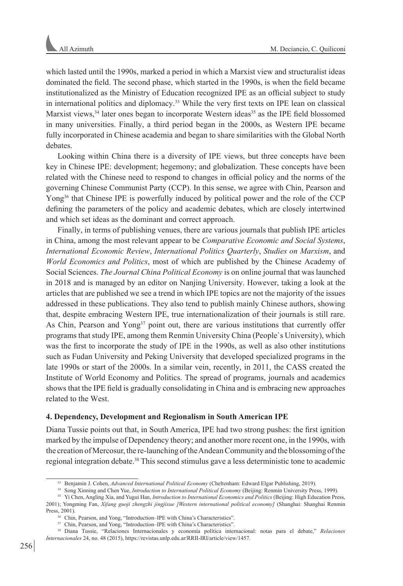which lasted until the 1990s, marked a period in which a Marxist view and structuralist ideas dominated the field. The second phase, which started in the 1990s, is when the field became institutionalized as the Ministry of Education recognized IPE as an official subject to study in international politics and diplomacy.33 While the very first texts on IPE lean on classical Marxist views,<sup>34</sup> later ones began to incorporate Western ideas<sup>35</sup> as the IPE field blossomed in many universities. Finally, a third period began in the 2000s, as Western IPE became fully incorporated in Chinese academia and began to share similarities with the Global North debates.

Looking within China there is a diversity of IPE views, but three concepts have been key in Chinese IPE: development; hegemony; and globalization. These concepts have been related with the Chinese need to respond to changes in official policy and the norms of the governing Chinese Communist Party (CCP). In this sense, we agree with Chin, Pearson and Yong<sup>36</sup> that Chinese IPE is powerfully induced by political power and the role of the CCP defining the parameters of the policy and academic debates, which are closely intertwined and which set ideas as the dominant and correct approach.

Finally, in terms of publishing venues, there are various journals that publish IPE articles in China, among the most relevant appear to be *Comparative Economic and Social Systems*, *International Economic Review*, *International Politics Quarterly*, *Studies on Marxism*, and *World Economics and Politics*, most of which are published by the Chinese Academy of Social Sciences. *The Journal China Political Economy* is on online journal that was launched in 2018 and is managed by an editor on Nanjing University. However, taking a look at the articles that are published we see a trend in which IPE topics are not the majority of the issues addressed in these publications. They also tend to publish mainly Chinese authors, showing that, despite embracing Western IPE, true internationalization of their journals is still rare. As Chin, Pearson and Yong<sup>37</sup> point out, there are various institutions that currently offer programs that study IPE, among them Renmin University China (People`s University), which was the first to incorporate the study of IPE in the 1990s, as well as also other institutions such as Fudan University and Peking University that developed specialized programs in the late 1990s or start of the 2000s. In a similar vein, recently, in 2011, the CASS created the Institute of World Economy and Politics. The spread of programs, journals and academics shows that the IPE field is gradually consolidating in China and is embracing new approaches related to the West.

## **4. Dependency, Development and Regionalism in South American IPE**

Diana Tussie points out that, in South America, IPE had two strong pushes: the first ignition marked by the impulse of Dependency theory; and another more recent one, in the 1990s, with the creation of Mercosur, the re-launching of the Andean Community and the blossoming of the regional integration debate.38 This second stimulus gave a less deterministic tone to academic

<sup>&</sup>lt;sup>33</sup> Benjamin J. Cohen, *Advanced International Political Economy* (Cheltenham: Edward Elgar Publishing, 2019).

<sup>34</sup> Song Xinning and Chen Yue, *Introduction to International Political Economy* (Beijing: Renmin University Press, 1999).

<sup>35</sup> Yi Chen, Angling Xia, and Yugui Han, *Introduction to International Economics and Politics* (Beijing: High Education Press, 2001); Yongming Fan, *Xifang guoji zhengzhi jingjixue [Western international political economy]* (Shanghai: Shanghai Renmin Press, 2001).

<sup>36</sup> Chin, Pearson, and Yong, "Introduction–IPE with China's Characteristics".

<sup>&</sup>lt;sup>37</sup> Chin, Pearson, and Yong, "Introduction–IPE with China's Characteristics".

<sup>38</sup> Diana Tussie, "Relaciones Internacionales y economía política internacional: notas para el debate," *Relaciones Internacionales* 24, no. 48 (2015), https://revistas.unlp.edu.ar/RRII-IRI/article/view/1457.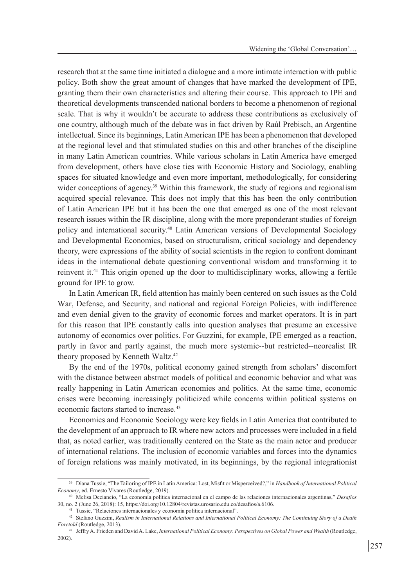research that at the same time initiated a dialogue and a more intimate interaction with public policy. Both show the great amount of changes that have marked the development of IPE, granting them their own characteristics and altering their course. This approach to IPE and theoretical developments transcended national borders to become a phenomenon of regional scale. That is why it wouldn't be accurate to address these contributions as exclusively of one country, although much of the debate was in fact driven by Raúl Prebisch, an Argentine intellectual. Since its beginnings, Latin American IPE has been a phenomenon that developed at the regional level and that stimulated studies on this and other branches of the discipline in many Latin American countries. While various scholars in Latin America have emerged from development, others have close ties with Economic History and Sociology, enabling spaces for situated knowledge and even more important, methodologically, for considering wider conceptions of agency.<sup>39</sup> Within this framework, the study of regions and regionalism acquired special relevance. This does not imply that this has been the only contribution of Latin American IPE but it has been the one that emerged as one of the most relevant research issues within the IR discipline, along with the more preponderant studies of foreign policy and international security.40 Latin American versions of Developmental Sociology and Developmental Economics, based on structuralism, critical sociology and dependency theory, were expressions of the ability of social scientists in the region to confront dominant ideas in the international debate questioning conventional wisdom and transforming it to reinvent it.41 This origin opened up the door to multidisciplinary works, allowing a fertile ground for IPE to grow.

In Latin American IR, field attention has mainly been centered on such issues as the Cold War, Defense, and Security, and national and regional Foreign Policies, with indifference and even denial given to the gravity of economic forces and market operators. It is in part for this reason that IPE constantly calls into question analyses that presume an excessive autonomy of economics over politics. For Guzzini, for example, IPE emerged as a reaction, partly in favor and partly against, the much more systemic--but restricted--neorealist IR theory proposed by Kenneth Waltz.<sup>42</sup>

By the end of the 1970s, political economy gained strength from scholars' discomfort with the distance between abstract models of political and economic behavior and what was really happening in Latin American economies and politics. At the same time, economic crises were becoming increasingly politicized while concerns within political systems on economic factors started to increase<sup>43</sup>

Economics and Economic Sociology were key fields in Latin America that contributed to the development of an approach to IR where new actors and processes were included in a field that, as noted earlier, was traditionally centered on the State as the main actor and producer of international relations. The inclusion of economic variables and forces into the dynamics of foreign relations was mainly motivated, in its beginnings, by the regional integrationist

<sup>39</sup> Diana Tussie, "The Tailoring of IPE in Latin America: Lost, Misfit or Misperceived?," in *Handbook of International Political Economy*, ed. Ernesto Vivares (Routledge, 2019).

<sup>40</sup> Melisa Deciancio, "La economía política internacional en el campo de las relaciones internacionales argentinas," *Desafíos* 30, no. 2 (June 26, 2018): 15, https://doi.org/10.12804/revistas.urosario.edu.co/desafios/a.6106.

<sup>41</sup> Tussie, "Relaciones internacionales y economía política internacional".

<sup>42</sup> Stefano Guzzini, *Realism in International Relations and International Political Economy: The Continuing Story of a Death Foretold* (Routledge, 2013).

<sup>43</sup> Jeffry A. Frieden and David A. Lake, *International Political Economy: Perspectives on Global Power and Wealth* (Routledge, 2002).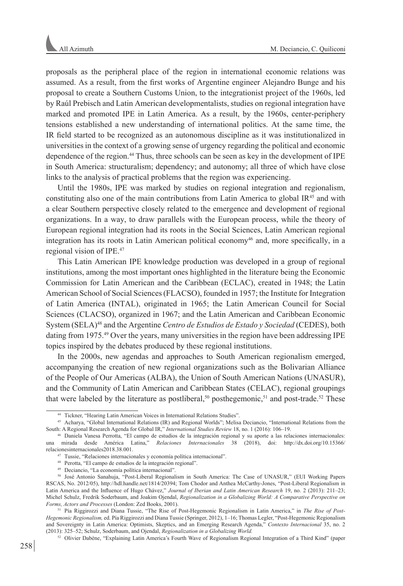proposals as the peripheral place of the region in international economic relations was assumed. As a result, from the first works of Argentine engineer Alejandro Bunge and his proposal to create a Southern Customs Union, to the integrationist project of the 1960s, led by Raúl Prebisch and Latin American developmentalists, studies on regional integration have marked and promoted IPE in Latin America. As a result, by the 1960s, center-periphery tensions established a new understanding of international politics. At the same time, the IR field started to be recognized as an autonomous discipline as it was institutionalized in universities in the context of a growing sense of urgency regarding the political and economic dependence of the region.44 Thus, three schools can be seen as key in the development of IPE in South America: structuralism; dependency; and autonomy; all three of which have close links to the analysis of practical problems that the region was experiencing.

Until the 1980s, IPE was marked by studies on regional integration and regionalism, constituting also one of the main contributions from Latin America to global IR45 and with a clear Southern perspective closely related to the emergence and development of regional organizations. In a way, to draw parallels with the European process, while the theory of European regional integration had its roots in the Social Sciences, Latin American regional integration has its roots in Latin American political economy<sup>46</sup> and, more specifically, in a regional vision of IPE.47

This Latin American IPE knowledge production was developed in a group of regional institutions, among the most important ones highlighted in the literature being the Economic Commission for Latin American and the Caribbean (ECLAC), created in 1948; the Latin American School of Social Sciences (FLACSO), founded in 1957; the Institute for Integration of Latin America (INTAL), originated in 1965; the Latin American Council for Social Sciences (CLACSO), organized in 1967; and the Latin American and Caribbean Economic System (SELA)48 and the Argentine *Centro de Estudios de Estado y Sociedad* (CEDES), both dating from 1975.<sup>49</sup> Over the years, many universities in the region have been addressing IPE topics inspired by the debates produced by these regional institutions.

In the 2000s, new agendas and approaches to South American regionalism emerged, accompanying the creation of new regional organizations such as the Bolivarian Alliance of the People of Our Americas (ALBA), the Union of South American Nations (UNASUR), and the Community of Latin American and Caribbean States (CELAC), regional groupings that were labeled by the literature as postliberal,<sup>50</sup> posthegemonic,<sup>51</sup> and post-trade.<sup>52</sup> These

<sup>44</sup> Tickner, "Hearing Latin American Voices in International Relations Studies".

<sup>45</sup> Acharya, "Global International Relations (IR) and Regional Worlds"; Melisa Deciancio, "International Relations from the South: A Regional Research Agenda for Global IR," *International Studies Review* 18, no. 1 (2016): 106–19.

<sup>46</sup> Daniela Vanesa Perrotta, "El campo de estudios de la integración regional y su aporte a las relaciones internacionales: una mirada desde América Latina," *Relaciones Internacionales* 38 (2018), doi: http://dx.doi.org/10.15366/ relacionesinternacionales2018.38.001.

<sup>47</sup> Tussie, "Relaciones internacionales y economía política internacional".

<sup>48</sup> Perotta, "El campo de estudios de la integración regional".

<sup>49</sup> Deciancio, "La economía política internacional".

<sup>50</sup> José Antonio Sanahuja, "Post-Liberal Regionalism in South America: The Case of UNASUR," (EUI Working Papers RSCAS, No. 2012/05), http://hdl.handle.net/1814/20394; Tom Chodor and Anthea McCarthy-Jones, "Post-Liberal Regionalism in Latin America and the Influence of Hugo Chávez," *Journal of Iberian and Latin American Research* 19, no. 2 (2013): 211–23; Michel Schulz, Fredrik Soderbaum, and Joakim Ojendal, *Regionalization in a Globalizing World: A Comparative Perspective on Forms, Actors and Processes* (London: Zed Books, 2001).

<sup>51</sup> Pía Riggirozzi and Diana Tussie, "The Rise of Post-Hegemonic Regionalism in Latin America," in *The Rise of Post-Hegemonic Regionalism,* ed. Pía Riggirozzi and Diana Tussie (Springer, 2012), 1–16; Thomas Legler, "Post-Hegemonic Regionalism and Sovereignty in Latin America: Optimists, Skeptics, and an Emerging Research Agenda," *Contexto Internacional* 35, no. 2 (2013): 325–52; Schulz, Soderbaum, and Ojendal, *Regionalization in a Globalizing World.*

<sup>52</sup> Olivier Dabène, "Explaining Latin America's Fourth Wave of Regionalism Regional Integration of a Third Kind" (paper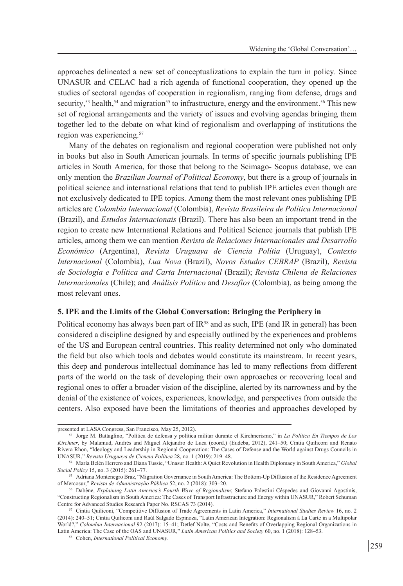approaches delineated a new set of conceptualizations to explain the turn in policy. Since UNASUR and CELAC had a rich agenda of functional cooperation, they opened up the studies of sectoral agendas of cooperation in regionalism, ranging from defense, drugs and security,<sup>53</sup> health,<sup>54</sup> and migration<sup>55</sup> to infrastructure, energy and the environment.<sup>56</sup> This new set of regional arrangements and the variety of issues and evolving agendas bringing them together led to the debate on what kind of regionalism and overlapping of institutions the region was experiencing.<sup>57</sup>

Many of the debates on regionalism and regional cooperation were published not only in books but also in South American journals. In terms of specific journals publishing IPE articles in South America, for those that belong to the Scimago- Scopus database, we can only mention the *Brazilian Journal of Political Economy*, but there is a group of journals in political science and international relations that tend to publish IPE articles even though are not exclusively dedicated to IPE topics. Among them the most relevant ones publishing IPE articles are *Colombia Internacional* (Colombia), *Revista Brasileira de Política Internacional* (Brazil), and *Estudos Internacionais* (Brazil). There has also been an important trend in the region to create new International Relations and Political Science journals that publish IPE articles, among them we can mention *Revista de Relaciones Internacionales and Desarrollo Económico* (Argentina), *Revista Uruguaya de Ciencia Polítia* (Uruguay), *Contexto Internacional* (Colombia), *Lua Nova* (Brazil), *Novos Estudos CEBRAP* (Brazil), *Revista de Sociología e Política and Carta Internacional* (Brazil); *Revista Chilena de Relaciones Internacionales* (Chile); and *Análisis Político* and *Desafíos* (Colombia), as being among the most relevant ones.

## **5. IPE and the Limits of the Global Conversation: Bringing the Periphery in**

Political economy has always been part of  $IR<sup>58</sup>$  and as such, IPE (and IR in general) has been considered a discipline designed by and especially outlined by the experiences and problems of the US and European central countries. This reality determined not only who dominated the field but also which tools and debates would constitute its mainstream. In recent years, this deep and ponderous intellectual dominance has led to many reflections from different parts of the world on the task of developing their own approaches or recovering local and regional ones to offer a broader vision of the discipline, alerted by its narrowness and by the denial of the existence of voices, experiences, knowledge, and perspectives from outside the centers. Also exposed have been the limitations of theories and approaches developed by

presented at LASA Congress, San Francisco, May 25, 2012).

<sup>53</sup> Jorge M. Battaglino, "Política de defensa y política militar durante el Kirchnerismo," in *La Política En Tiempos de Los Kirchner*, by Malamud, Andrés and Miguel Alejandro de Luca (coord.) (Eudeba, 2012), 241–50; Cintia Quiliconi and Renato Rivera Rhon, "Ideology and Leadership in Regional Cooperation: The Cases of Defense and the World against Drugs Councils in UNASUR," *Revista Uruguaya de Ciencia Política* 28, no. 1 (2019): 219–48.

<sup>54</sup> María Belén Herrero and Diana Tussie, "Unasur Health: A Quiet Revolution in Health Diplomacy in South America," *Global Social Policy* 15, no. 3 (2015): 261–77.

<sup>55</sup> Adriana Montenegro Braz, "Migration Governance in South America: The Bottom-Up Diffusion of the Residence Agreement of Mercosur," *Revista de Administração Pública* 52, no. 2 (2018): 303–20.

<sup>56</sup> Dabène, *Explaining Latin America's Fourth Wave of Regionalism*; Stefano Palestini Céspedes and Giovanni Agostinis, "Constructing Regionalism in South America: The Cases of Transport Infrastructure and Energy within UNASUR," Robert Schuman Centre for Advanced Studies Research Paper No. RSCAS 73 (2014).

<sup>57</sup> Cintia Quiliconi, "Competitive Diffusion of Trade Agreements in Latin America," *International Studies Review* 16, no. 2 (2014): 240–51; Cintia Quiliconi and Raúl Salgado Espinoza, "Latin American Integration: Regionalism à La Carte in a Multipolar World?," *Colombia Internacional* 92 (2017): 15–41; Detlef Nolte, "Costs and Benefits of Overlapping Regional Organizations in Latin America: The Case of the OAS and UNASUR," *Latin American Politics and Society* 60, no. 1 (2018): 128–53.

<sup>58</sup> Cohen, *International Political Economy*.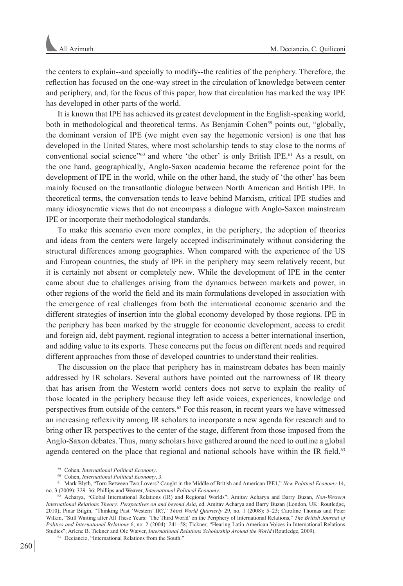the centers to explain--and specially to modify--the realities of the periphery. Therefore, the reflection has focused on the one-way street in the circulation of knowledge between center and periphery, and, for the focus of this paper, how that circulation has marked the way IPE has developed in other parts of the world.

It is known that IPE has achieved its greatest development in the English-speaking world, both in methodological and theoretical terms. As Benjamin Cohen<sup>59</sup> points out, "globally, the dominant version of IPE (we might even say the hegemonic version) is one that has developed in the United States, where most scholarship tends to stay close to the norms of conventional social science"<sup>60</sup> and where 'the other' is only British IPE.<sup>61</sup> As a result, on the one hand, geographically, Anglo-Saxon academia became the reference point for the development of IPE in the world, while on the other hand, the study of 'the other' has been mainly focused on the transatlantic dialogue between North American and British IPE. In theoretical terms, the conversation tends to leave behind Marxism, critical IPE studies and many idiosyncratic views that do not encompass a dialogue with Anglo-Saxon mainstream IPE or incorporate their methodological standards.

To make this scenario even more complex, in the periphery, the adoption of theories and ideas from the centers were largely accepted indiscriminately without considering the structural differences among geographies. When compared with the experience of the US and European countries, the study of IPE in the periphery may seem relatively recent, but it is certainly not absent or completely new. While the development of IPE in the center came about due to challenges arising from the dynamics between markets and power, in other regions of the world the field and its main formulations developed in association with the emergence of real challenges from both the international economic scenario and the different strategies of insertion into the global economy developed by those regions. IPE in the periphery has been marked by the struggle for economic development, access to credit and foreign aid, debt payment, regional integration to access a better international insertion, and adding value to its exports. These concerns put the focus on different needs and required different approaches from those of developed countries to understand their realities.

The discussion on the place that periphery has in mainstream debates has been mainly addressed by IR scholars. Several authors have pointed out the narrowness of IR theory that has arisen from the Western world centers does not serve to explain the reality of those located in the periphery because they left aside voices, experiences, knowledge and perspectives from outside of the centers.62 For this reason, in recent years we have witnessed an increasing reflexivity among IR scholars to incorporate a new agenda for research and to bring other IR perspectives to the center of the stage, different from those imposed from the Anglo-Saxon debates. Thus, many scholars have gathered around the need to outline a global agenda centered on the place that regional and national schools have within the IR field.<sup>63</sup>

<sup>59</sup> Cohen, *International Political Economy*.

<sup>60</sup> Cohen, *International Political Economy*, 3.

<sup>61</sup> Mark Blyth, "Torn Between Two Lovers? Caught in the Middle of British and American IPE1," *New Political Economy* 14, no. 3 (2009): 329–36; Phillips and Weaver, *International Political Economy*.

<sup>62</sup> Acharya, "Global International Relations (IR) and Regional Worlds"; Amitav Acharya and Barry Buzan, *Non-Western International Relations Theory: Perspectives on and beyond Asia*, ed. Amitav Acharya and Barry Buzan (London, UK: Routledge, 2010); Pinar Bilgin, "Thinking Past 'Western' IR?," *Third World Quarterly* 29, no. 1 (2008): 5–23; Caroline Thomas and Peter Wilkin, "Still Waiting after All These Years: 'The Third World' on the Periphery of International Relations," *The British Journal of Politics and International Relations* 6, no. 2 (2004): 241–58; Tickner, "Hearing Latin American Voices in International Relations Studies"; Arlene B. Tickner and Ole Wæver, *International Relations Scholarship Around the World* (Routledge, 2009). <sup>63</sup> Deciancio, "International Relations from the South."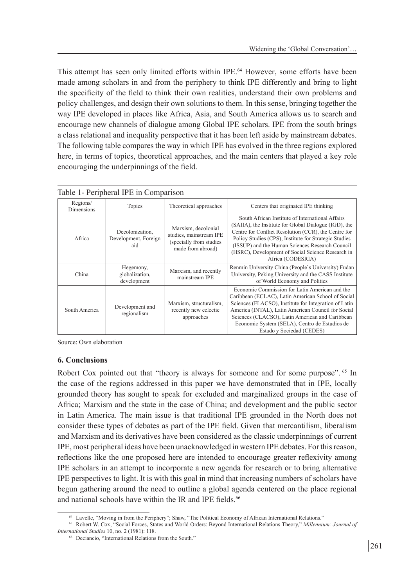This attempt has seen only limited efforts within IPE.<sup>64</sup> However, some efforts have been made among scholars in and from the periphery to think IPE differently and bring to light the specificity of the field to think their own realities, understand their own problems and policy challenges, and design their own solutions to them. In this sense, bringing together the way IPE developed in places like Africa, Asia, and South America allows us to search and encourage new channels of dialogue among Global IPE scholars. IPE from the south brings a class relational and inequality perspective that it has been left aside by mainstream debates. The following table compares the way in which IPE has evolved in the three regions explored here, in terms of topics, theoretical approaches, and the main centers that played a key role encouraging the underpinnings of the field.

| Table 1- Peripheral IPE in Comparison |                                                |                                                                                                 |                                                                                                                                                                                                                                                                                                                                                         |
|---------------------------------------|------------------------------------------------|-------------------------------------------------------------------------------------------------|---------------------------------------------------------------------------------------------------------------------------------------------------------------------------------------------------------------------------------------------------------------------------------------------------------------------------------------------------------|
| Regions/<br>Dimensions                | Topics                                         | Theoretical approaches                                                                          | Centers that originated IPE thinking                                                                                                                                                                                                                                                                                                                    |
| Africa                                | Decolonization,<br>Development, Foreign<br>aid | Marxism, decolonial<br>studies, mainstream IPE<br>(specially from studies)<br>made from abroad) | South African Institute of International Affairs<br>(SAIIA), the Institute for Global Dialogue (IGD), the<br>Centre for Conflict Resolution (CCR), the Centre for<br>Policy Studies (CPS), Institute for Strategic Studies<br>(ISSUP) and the Human Sciences Research Council<br>(HSRC), Development of Social Science Research in<br>Africa (CODESRIA) |
| China                                 | Hegemony,<br>globalization,<br>development     | Marxism, and recently<br>mainstream IPE                                                         | Renmin University China (People's University) Fudan<br>University, Peking University and the CASS Institute<br>of World Economy and Politics                                                                                                                                                                                                            |
| South America                         | Development and<br>regionalism                 | Marxism, structuralism,<br>recently new eclectic<br>approaches                                  | Economic Commission for Latin American and the<br>Caribbean (ECLAC), Latin American School of Social<br>Sciences (FLACSO), Institute for Integration of Latin<br>America (INTAL), Latin American Council for Social<br>Sciences (CLACSO), Latin American and Caribbean<br>Economic System (SELA), Centro de Estudios de<br>Estado y Sociedad (CEDES)    |

Source: Own elaboration

## **6. Conclusions**

Robert Cox pointed out that "theory is always for someone and for some purpose". <sup>65</sup> In the case of the regions addressed in this paper we have demonstrated that in IPE, locally grounded theory has sought to speak for excluded and marginalized groups in the case of Africa; Marxism and the state in the case of China; and development and the public sector in Latin America. The main issue is that traditional IPE grounded in the North does not consider these types of debates as part of the IPE field. Given that mercantilism, liberalism and Marxism and its derivatives have been considered as the classic underpinnings of current IPE, most peripheral ideas have been unacknowledged in western IPE debates. For this reason, reflections like the one proposed here are intended to encourage greater reflexivity among IPE scholars in an attempt to incorporate a new agenda for research or to bring alternative IPE perspectives to light. It is with this goal in mind that increasing numbers of scholars have begun gathering around the need to outline a global agenda centered on the place regional and national schools have within the IR and IPE fields.<sup>66</sup>

<sup>64</sup> Lavelle, "Moving in from the Periphery"; Shaw, "The Political Economy of African International Relations."

<sup>65</sup> Robert W. Cox, "Social Forces, States and World Orders: Beyond International Relations Theory," *Millennium: Journal of* 

<sup>&</sup>lt;sup>66</sup> Deciancio, "International Relations from the South."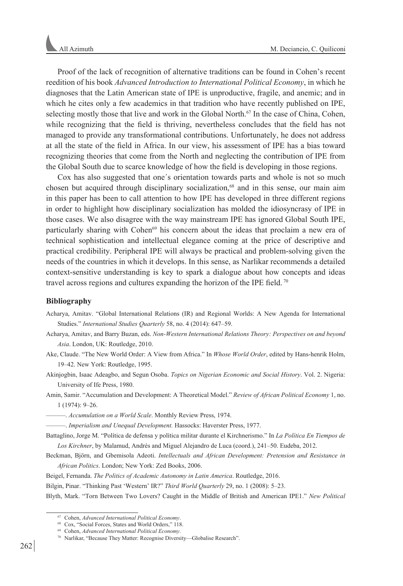Proof of the lack of recognition of alternative traditions can be found in Cohen's recent reedition of his book *Advanced Introduction to International Political Economy*, in which he diagnoses that the Latin American state of IPE is unproductive, fragile, and anemic; and in which he cites only a few academics in that tradition who have recently published on IPE, selecting mostly those that live and work in the Global North.<sup>67</sup> In the case of China, Cohen, while recognizing that the field is thriving, nevertheless concludes that the field has not managed to provide any transformational contributions. Unfortunately, he does not address at all the state of the field in Africa. In our view, his assessment of IPE has a bias toward recognizing theories that come from the North and neglecting the contribution of IPE from the Global South due to scarce knowledge of how the field is developing in those regions.

Cox has also suggested that one´s orientation towards parts and whole is not so much chosen but acquired through disciplinary socialization,<sup>68</sup> and in this sense, our main aim in this paper has been to call attention to how IPE has developed in three different regions in order to highlight how disciplinary socialization has molded the idiosyncrasy of IPE in those cases. We also disagree with the way mainstream IPE has ignored Global South IPE, particularly sharing with Cohen<sup>69</sup> his concern about the ideas that proclaim a new era of technical sophistication and intellectual elegance coming at the price of descriptive and practical credibility. Peripheral IPE will always be practical and problem-solving given the needs of the countries in which it develops. In this sense, as Narlikar recommends a detailed context-sensitive understanding is key to spark a dialogue about how concepts and ideas travel across regions and cultures expanding the horizon of the IPE field. 70

#### **Bibliography**

Acharya, Amitav. "Global International Relations (IR) and Regional Worlds: A New Agenda for International Studies." *International Studies Quarterly* 58, no. 4 (2014): 647–59.

Acharya, Amitav, and Barry Buzan, eds. *Non-Western International Relations Theory: Perspectives on and beyond Asia*. London, UK: Routledge, 2010.

Ake, Claude. "The New World Order: A View from Africa." In *Whose World Order*, edited by Hans-henrik Holm, 19–42. New York: Routledge, 1995.

Akinjogbin, Isaac Adeagbo, and Segun Osoba. *Topics on Nigerian Economic and Social History*. Vol. 2. Nigeria: University of Ife Press, 1980.

Amin, Samir. "Accumulation and Development: A Theoretical Model." *Review of African Political Economy* 1, no. 1 (1974): 9–26.

———. *Accumulation on a World Scale*. Monthly Review Press, 1974.

———. *Imperialism and Unequal Development.* Hassocks: Haverster Press, 1977.

Battaglino, Jorge M. "Política de defensa y política militar durante el Kirchnerismo." In *La Política En Tiempos de Los Kirchner*, by Malamud, Andrés and Miguel Alejandro de Luca (coord.), 241–50. Eudeba, 2012.

Beckman, Björn, and Gbemisola Adeoti. *Intellectuals and African Development: Pretension and Resistance in African Politics*. London; New York: Zed Books, 2006.

Beigel, Fernanda. *The Politics of Academic Autonomy in Latin America*. Routledge, 2016.

Bilgin, Pinar. "Thinking Past 'Western' IR?" *Third World Quarterly* 29, no. 1 (2008): 5–23.

Blyth, Mark. "Torn Between Two Lovers? Caught in the Middle of British and American IPE1." *New Political* 

<sup>67</sup> Cohen, *Advanced International Political Economy*.

<sup>68</sup> Cox, "Social Forces, States and World Orders," 118.

<sup>69</sup> Cohen, *Advanced International Political Economy*.

<sup>70</sup> Narlikar, "Because They Matter: Recognise Diversity—Globalise Research".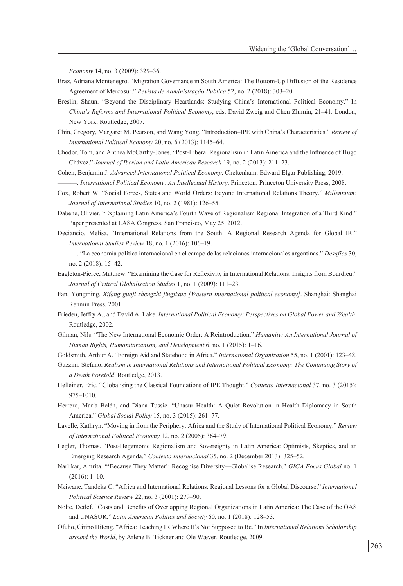*Economy* 14, no. 3 (2009): 329–36.

- Braz, Adriana Montenegro. "Migration Governance in South America: The Bottom-Up Diffusion of the Residence Agreement of Mercosur." *Revista de Administração Pública* 52, no. 2 (2018): 303–20.
- Breslin, Shaun. "Beyond the Disciplinary Heartlands: Studying China's International Political Economy." In *China's Reforms and International Political Economy*, eds. David Zweig and Chen Zhimin, 21–41. London; New York: Routledge, 2007.
- Chin, Gregory, Margaret M. Pearson, and Wang Yong. "Introduction–IPE with China's Characteristics." *Review of International Political Economy* 20, no. 6 (2013): 1145–64.
- Chodor, Tom, and Anthea McCarthy-Jones. "Post-Liberal Regionalism in Latin America and the Influence of Hugo Chávez." *Journal of Iberian and Latin American Research* 19, no. 2 (2013): 211–23.

Cohen, Benjamin J. *Advanced International Political Economy*. Cheltenham: Edward Elgar Publishing, 2019.

———. *International Political Economy: An Intellectual History*. Princeton: Princeton University Press, 2008.

- Cox, Robert W. "Social Forces, States and World Orders: Beyond International Relations Theory." *Millennium: Journal of International Studies* 10, no. 2 (1981): 126–55.
- Dabène, Olivier. "Explaining Latin America's Fourth Wave of Regionalism Regional Integration of a Third Kind." Paper presented at LASA Congress, San Francisco, May 25, 2012.
- Deciancio, Melisa. "International Relations from the South: A Regional Research Agenda for Global IR." *International Studies Review* 18, no. 1 (2016): 106–19.
- ———. "La economía política internacional en el campo de las relaciones internacionales argentinas." *Desafíos* 30, no. 2 (2018): 15–42.
- Eagleton-Pierce, Matthew. "Examining the Case for Reflexivity in International Relations: Insights from Bourdieu." *Journal of Critical Globalisation Studies* 1, no. 1 (2009): 111–23.
- Fan, Yongming. *Xifang guoji zhengzhi jingjixue [Western international political economy]*. Shanghai: Shanghai Renmin Press, 2001.
- Frieden, Jeffry A., and David A. Lake. *International Political Economy: Perspectives on Global Power and Wealth*. Routledge, 2002.
- Gilman, Nils. "The New International Economic Order: A Reintroduction." *Humanity: An International Journal of Human Rights, Humanitarianism, and Development* 6, no. 1 (2015): 1–16.

Goldsmith, Arthur A. "Foreign Aid and Statehood in Africa." *International Organization* 55, no. 1 (2001): 123–48.

- Guzzini, Stefano. *Realism in International Relations and International Political Economy: The Continuing Story of a Death Foretold*. Routledge, 2013.
- Helleiner, Eric. "Globalising the Classical Foundations of IPE Thought." *Contexto Internacional* 37, no. 3 (2015): 975–1010.
- Herrero, María Belén, and Diana Tussie. "Unasur Health: A Quiet Revolution in Health Diplomacy in South America." *Global Social Policy* 15, no. 3 (2015): 261–77.
- Lavelle, Kathryn. "Moving in from the Periphery: Africa and the Study of International Political Economy." *Review of International Political Economy* 12, no. 2 (2005): 364–79.
- Legler, Thomas. "Post-Hegemonic Regionalism and Sovereignty in Latin America: Optimists, Skeptics, and an Emerging Research Agenda." *Contexto Internacional* 35, no. 2 (December 2013): 325–52.
- Narlikar, Amrita. "'Because They Matter': Recognise Diversity—Globalise Research." *GIGA Focus Global* no. 1 (2016): 1–10.
- Nkiwane, Tandeka C. "Africa and International Relations: Regional Lessons for a Global Discourse." *International Political Science Review* 22, no. 3 (2001): 279–90.
- Nolte, Detlef. "Costs and Benefits of Overlapping Regional Organizations in Latin America: The Case of the OAS and UNASUR." *Latin American Politics and Society* 60, no. 1 (2018): 128–53.
- Ofuho, Cirino Hiteng. "Africa: Teaching IR Where It's Not Supposed to Be." In *International Relations Scholarship around the World*, by Arlene B. Tickner and Ole Wæver. Routledge, 2009.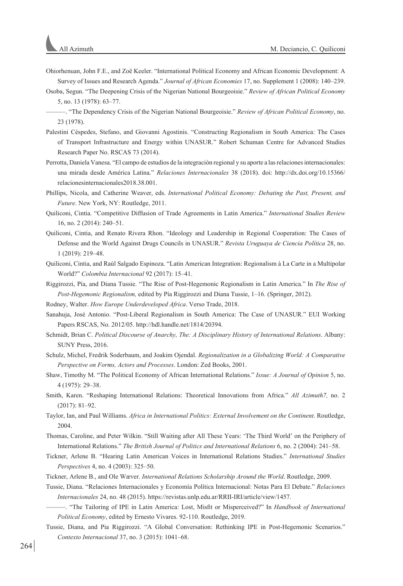- Ohiorhenuan, John F.E., and Zoë Keeler. "International Political Economy and African Economic Development: A Survey of Issues and Research Agenda." *Journal of African Economies* 17, no. Supplement 1 (2008): 140–239.
- Osoba, Segun. "The Deepening Crisis of the Nigerian National Bourgeoisie." *Review of African Political Economy* 5, no. 13 (1978): 63–77.
- ———. "The Dependency Crisis of the Nigerian National Bourgeoisie." *Review of African Political Economy*, no. 23 (1978).
- Palestini Céspedes, Stefano, and Giovanni Agostinis. "Constructing Regionalism in South America: The Cases of Transport Infrastructure and Energy within UNASUR." Robert Schuman Centre for Advanced Studies Research Paper No. RSCAS 73 (2014).
- Perrotta, Daniela Vanesa. "El campo de estudios de la integración regional y su aporte a las relaciones internacionales: una mirada desde América Latina." *Relaciones Internacionales* 38 (2018). doi: http://dx.doi.org/10.15366/ relacionesinternacionales2018.38.001.
- Phillips, Nicola, and Catherine Weaver, eds. *International Political Economy: Debating the Past, Present, and Future*. New York, NY: Routledge, 2011.
- Quiliconi, Cintia. "Competitive Diffusion of Trade Agreements in Latin America." *International Studies Review* 16, no. 2 (2014): 240–51.
- Quiliconi, Cintia, and Renato Rivera Rhon. "Ideology and Leadership in Regional Cooperation: The Cases of Defense and the World Against Drugs Councils in UNASUR." *Revista Uruguaya de Ciencia Política* 28, no. 1 (2019): 219–48.
- Quiliconi, Cintia, and Raúl Salgado Espinoza. "Latin American Integration: Regionalism à La Carte in a Multipolar World?" *Colombia Internacional* 92 (2017): 15–41.
- Riggirozzi, Pía, and Diana Tussie. "The Rise of Post-Hegemonic Regionalism in Latin America." In *The Rise of Post-Hegemonic Regionalism,* edited by Pía Riggirozzi and Diana Tussie, 1–16. (Springer, 2012).

Rodney, Walter. *How Europe Underdeveloped Africa*. Verso Trade, 2018.

- Sanahuja, José Antonio. "Post-Liberal Regionalism in South America: The Case of UNASUR." EUI Working Papers RSCAS, No. 2012/05. http://hdl.handle.net/1814/20394.
- Schmidt, Brian C. *Political Discourse of Anarchy, The: A Disciplinary History of International Relations*. Albany: SUNY Press, 2016.
- Schulz, Michel, Fredrik Soderbaum, and Joakim Ojendal. *Regionalization in a Globalizing World: A Comparative Perspective on Forms, Actors and Processes*. London: Zed Books, 2001.
- Shaw, Timothy M. "The Political Economy of African International Relations." *Issue: A Journal of Opinion* 5, no. 4 (1975): 29–38.
- Smith, Karen. "Reshaping International Relations: Theoretical Innovations from Africa." *All Azimuth7,* no. 2 (2017): 81–92.
- Taylor, Ian, and Paul Williams. *Africa in International Politics: External Involvement on the Continent*. Routledge, 2004.
- Thomas, Caroline, and Peter Wilkin. "Still Waiting after All These Years: 'The Third World' on the Periphery of International Relations." *The British Journal of Politics and International Relations* 6, no. 2 (2004): 241–58.
- Tickner, Arlene B. "Hearing Latin American Voices in International Relations Studies." *International Studies Perspectives* 4, no. 4 (2003): 325–50.
- Tickner, Arlene B., and Ole Wæver. *International Relations Scholarship Around the World*. Routledge, 2009.
- Tussie, Diana. "Relaciones Internacionales y Economía Política Internacional: Notas Para El Debate." *Relaciones Internacionales* 24, no. 48 (2015). https://revistas.unlp.edu.ar/RRII-IRI/article/view/1457.
	- ———. "The Tailoring of IPE in Latin America: Lost, Misfit or Misperceived?" In *Handbook of International Political Economy*, edited by Ernesto Vivares. 92-110. Routledge, 2019.
- Tussie, Diana, and Pia Riggirozzi. "A Global Conversation: Rethinking IPE in Post-Hegemonic Scenarios." *Contexto Internacional* 37, no. 3 (2015): 1041–68.